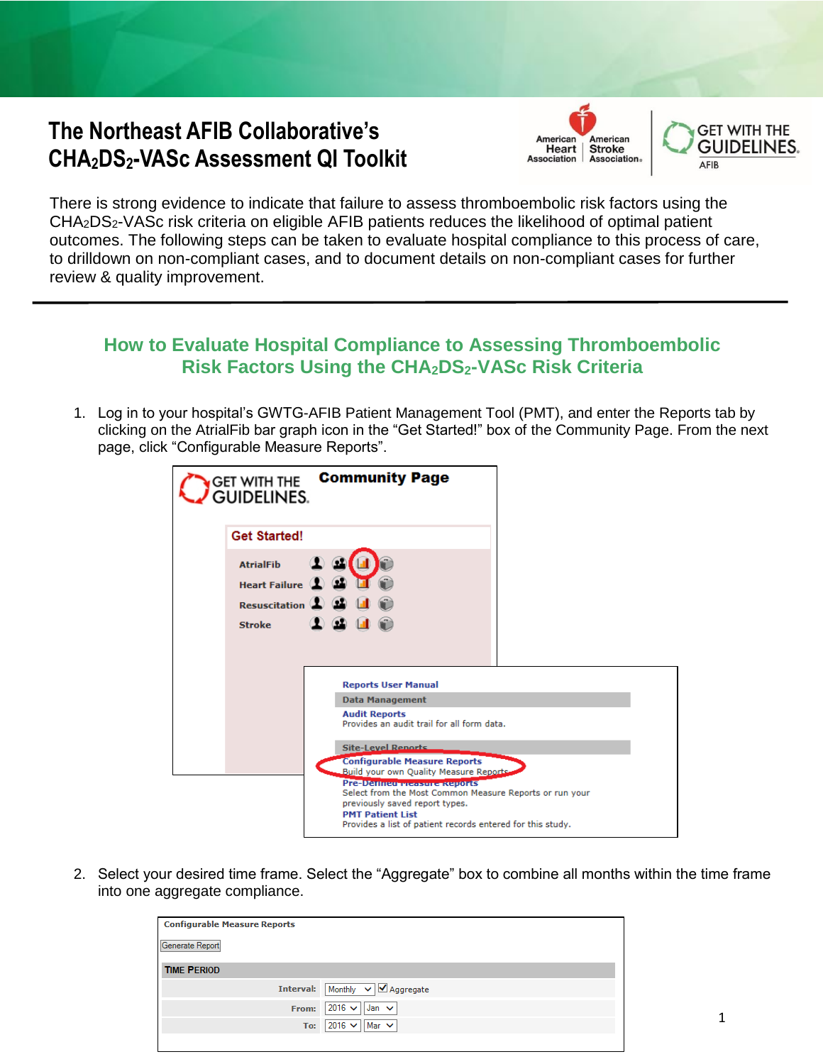## **The Northeast AFIB Collaborative's CHA2DS2-VASc Assessment QI Toolkit**





There is strong evidence to indicate that failure to assess thromboembolic risk factors using the CHA2DS2-VASc risk criteria on eligible AFIB patients reduces the likelihood of optimal patient outcomes. The following steps can be taken to evaluate hospital compliance to this process of care, to drilldown on non-compliant cases, and to document details on non-compliant cases for further review & quality improvement.

## **How to Evaluate Hospital Compliance to Assessing Thromboembolic Risk Factors Using the CHA2DS2-VASc Risk Criteria**

1. Log in to your hospital's GWTG-AFIB Patient Management Tool (PMT), and enter the Reports tab by clicking on the AtrialFib bar graph icon in the "Get Started!" box of the Community Page. From the next page, click "Configurable Measure Reports".

| <b>Community Page</b><br>Get with the<br><b>GUIDELINES.</b>                                                                                                                                                      |  |
|------------------------------------------------------------------------------------------------------------------------------------------------------------------------------------------------------------------|--|
| <b>Get Started!</b>                                                                                                                                                                                              |  |
| <b>AtrialFib</b><br><b>Heart Failure</b><br><b>Resuscitation</b><br>$\mathbf{G}$<br><b>Stroke</b>                                                                                                                |  |
| <b>Reports User Manual</b>                                                                                                                                                                                       |  |
| <b>Data Management</b>                                                                                                                                                                                           |  |
| <b>Audit Reports</b><br>Provides an audit trail for all form data.                                                                                                                                               |  |
| <b>Site-Level Reports</b>                                                                                                                                                                                        |  |
| <b>Configurable Measure Reports</b><br>Build your own Quality Measure Reports.                                                                                                                                   |  |
| Pre-Denneu measure Reports<br>Select from the Most Common Measure Reports or run your<br>previously saved report types.<br><b>PMT Patient List</b><br>Provides a list of patient records entered for this study. |  |

2. Select your desired time frame. Select the "Aggregate" box to combine all months within the time frame into one aggregate compliance.

| <b>Configurable Measure Reports</b> |                                       |
|-------------------------------------|---------------------------------------|
| Generate Report                     |                                       |
| <b>TIME PERIOD</b>                  |                                       |
| <b>Interval:</b>                    | Monthly $\vee$ Aggregate              |
| From:                               | $2016 \vee$<br>Jan $\vee$             |
| To:                                 | $2016 \vee$<br>$\parallel$ Mar $\vee$ |
|                                     |                                       |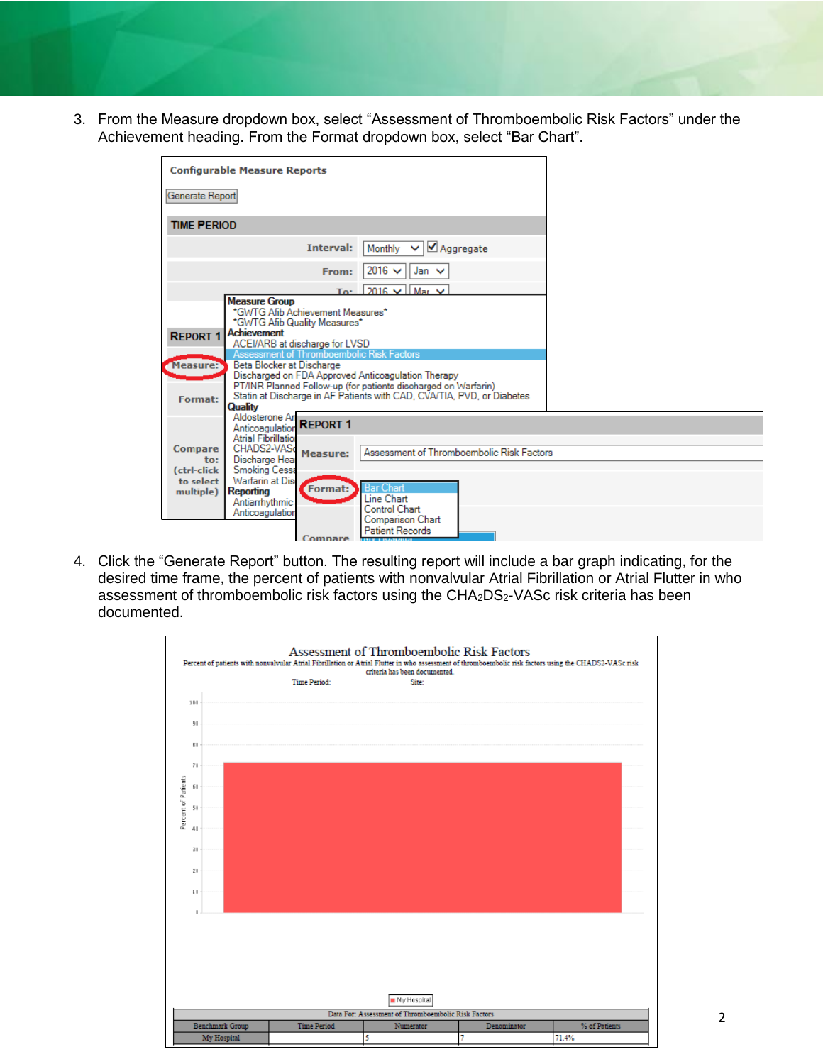3. From the Measure dropdown box, select "Assessment of Thromboembolic Risk Factors" under the Achievement heading. From the Format dropdown box, select "Bar Chart".

| <b>Configurable Measure Reports</b>                                                                                                |                                                                                                                                                                                                                                                                                                                                                                                |  |
|------------------------------------------------------------------------------------------------------------------------------------|--------------------------------------------------------------------------------------------------------------------------------------------------------------------------------------------------------------------------------------------------------------------------------------------------------------------------------------------------------------------------------|--|
| Generate Report                                                                                                                    |                                                                                                                                                                                                                                                                                                                                                                                |  |
| <b>TIME PERIOD</b>                                                                                                                 |                                                                                                                                                                                                                                                                                                                                                                                |  |
|                                                                                                                                    | Monthly $\vee$<br>Aggregate<br><b>Interval:</b>                                                                                                                                                                                                                                                                                                                                |  |
|                                                                                                                                    | $2016 \vee$<br>Jan $\vee$<br>From:                                                                                                                                                                                                                                                                                                                                             |  |
|                                                                                                                                    | $2016 \vee$<br>$Mar$ $\vee$<br>To*                                                                                                                                                                                                                                                                                                                                             |  |
| <b>Measure Group</b><br><b>Achievement</b><br><b>REPORT 1</b><br>Measure:<br>Format:<br>Quality<br>Aldosterone An                  | *GWTG Afib Achievement Measures*<br>*GWTG Afib Quality Measures*<br>ACEI/ARB at discharge for LVSD<br>Assessment of Thromboembolic Risk Factors<br>Beta Blocker at Discharge<br>Discharged on FDA Approved Anticoagulation Therapy<br>PT/INR Planned Follow-up (for patients discharged on Warfarin)<br>Statin at Discharge in AF Patients with CAD, CVA/TIA, PVD, or Diabetes |  |
| Anticoagulation<br><b>Atrial Fibrillation</b><br>CHADS2-VASo<br><b>Compare</b><br>Discharge Hear<br>to:                            | <b>REPORT 1</b><br>Assessment of Thromboembolic Risk Factors<br><b>Measure:</b>                                                                                                                                                                                                                                                                                                |  |
| <b>Smoking Cessa</b><br>(ctrl-click<br>Warfarin at Dis<br>to select<br>Reporting<br>multiple)<br>Antiarrhythmic<br>Anticoagulation | <b>Bar Chart</b><br>Format:<br>Line Chart<br>Control Chart<br>Comparison Chart<br><b>Patient Records</b><br><b>Compare</b><br><b>ITIV-HIVOLIBU</b>                                                                                                                                                                                                                             |  |

4. Click the "Generate Report" button. The resulting report will include a bar graph indicating, for the desired time frame, the percent of patients with nonvalvular Atrial Fibrillation or Atrial Flutter in who assessment of thromboembolic risk factors using the CHA<sub>2</sub>DS<sub>2</sub>-VASc risk criteria has been documented.

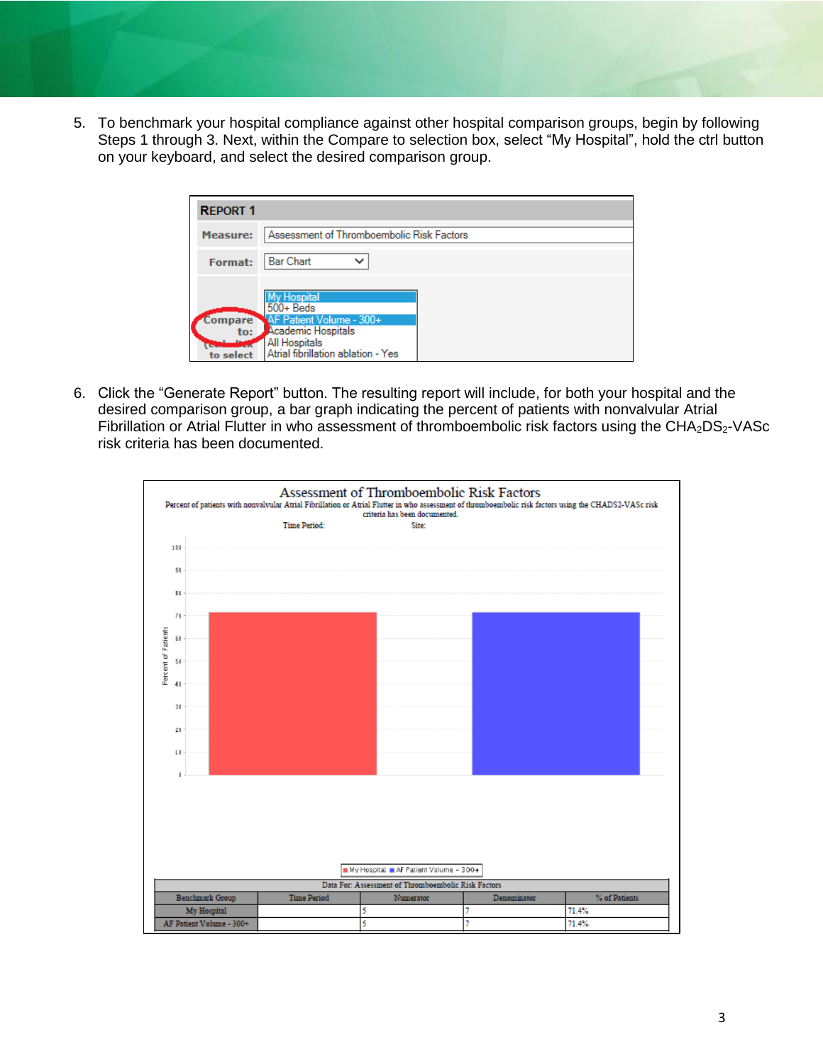5. To benchmark your hospital compliance against other hospital comparison groups, begin by following Steps 1 through 3. Next, within the Compare to selection box, select "My Hospital", hold the ctrl button on your keyboard, and select the desired comparison group.

| <b>REPORT 1</b>                    |                                                                                                                                             |  |
|------------------------------------|---------------------------------------------------------------------------------------------------------------------------------------------|--|
| <b>Measure:</b>                    | Assessment of Thromboembolic Risk Factors                                                                                                   |  |
| <b>Format:</b>                     | <b>Bar Chart</b><br>$\checkmark$                                                                                                            |  |
| <b>Compare</b><br>to:<br>to select | <b>My Hospital</b><br>$500 +$ Beds<br>AF Patient Volume - 300+<br>Academic Hospitals<br>All Hospitals<br>Atrial fibrillation ablation - Yes |  |

6. Click the "Generate Report" button. The resulting report will include, for both your hospital and the desired comparison group, a bar graph indicating the percent of patients with nonvalvular Atrial Fibrillation or Atrial Flutter in who assessment of thromboembolic risk factors using the CHA<sub>2</sub>DS<sub>2</sub>-VASc risk criteria has been documented.

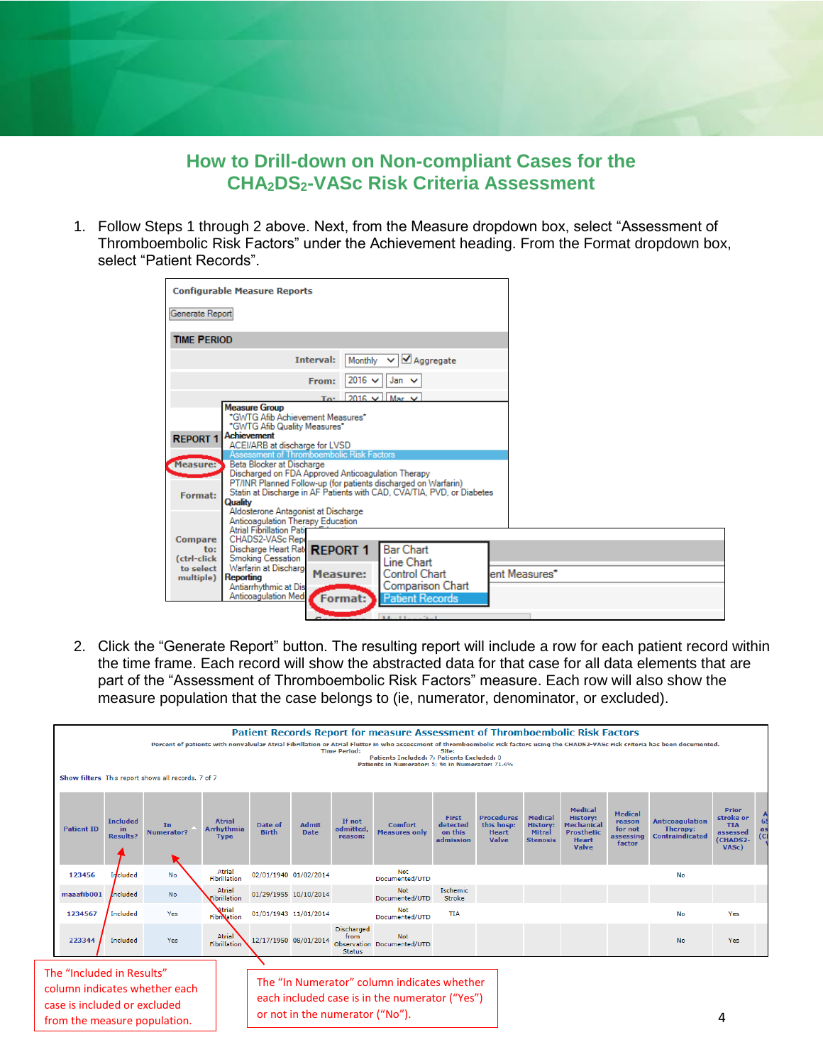**How to Drill-down on Non-compliant Cases for the CHA2DS2-VASc Risk Criteria Assessment**

1. Follow Steps 1 through 2 above. Next, from the Measure dropdown box, select "Assessment of Thromboembolic Risk Factors" under the Achievement heading. From the Format dropdown box, select "Patient Records".

| <b>Configurable Measure Reports</b>                                   |                                                                        |               |
|-----------------------------------------------------------------------|------------------------------------------------------------------------|---------------|
| Generate Report                                                       |                                                                        |               |
| <b>TIME PERIOD</b>                                                    |                                                                        |               |
| Interval:                                                             | Aggregate<br>Monthly<br>◡                                              |               |
| From:                                                                 | $2016 \vee$<br>Jan $\vee$                                              |               |
| To*                                                                   | $2016 \vee$ Mar $\vee$                                                 |               |
| <b>Measure Group</b>                                                  |                                                                        |               |
| *GWTG Afib Achievement Measures*                                      |                                                                        |               |
| *GWTG Afib Quality Measures*<br><b>Achievement</b>                    |                                                                        |               |
| <b>REPORT 1</b><br>ACEI/ARB at discharge for LVSD                     |                                                                        |               |
| Assessment of Thromboembolic Risk Factors                             |                                                                        |               |
| Measure:<br>Beta Blocker at Discharge                                 |                                                                        |               |
| Discharged on FDA Approved Anticoagulation Therapy                    |                                                                        |               |
| PT/INR Planned Follow-up (for patients discharged on Warfarin)        |                                                                        |               |
| Format:                                                               | Statin at Discharge in AF Patients with CAD, CVA/TIA, PVD, or Diabetes |               |
| Quality                                                               |                                                                        |               |
| Aldosterone Antagonist at Discharge                                   |                                                                        |               |
| Anticoagulation Therapy Education<br><b>Atrial Fibrillation Patio</b> |                                                                        |               |
| CHADS2-VASc Repo<br><b>Compare</b>                                    |                                                                        |               |
| Discharge Heart Rate<br><b>REPORT 1</b><br>$\mathbf{to}$ :            | <b>Bar Chart</b>                                                       |               |
| <b>Smoking Cessation</b><br>(ctrl-click                               | Line Chart                                                             |               |
| Warfarin at Discharge<br>to select<br><b>Measure:</b>                 | <b>Control Chart</b>                                                   | ent Measures* |
| Reporting<br>multiple)                                                |                                                                        |               |
| Antiarrhythmic at Dis                                                 | Comparison Chart                                                       |               |
| Anticoagulation Medi<br>Format:                                       | <b>Patient Records</b>                                                 |               |
|                                                                       |                                                                        |               |
|                                                                       | $1.41 \times 1.11 = 1.11 \times 1.11$                                  |               |

2. Click the "Generate Report" button. The resulting report will include a row for each patient record within the time frame. Each record will show the abstracted data for that case for all data elements that are part of the "Assessment of Thromboembolic Risk Factors" measure. Each row will also show the measure population that the case belongs to (ie, numerator, denominator, or excluded).

|                                                                                           |                                          |                                                                               |                                            |                         |                                 | <b>Time Period:</b>                        | <b>Patient Records Report for measure Assessment of Thromboembolic Risk Factors</b><br>Patients Included: 7: Patients Excluded: 0<br>Patients in Numerator: 5: % in Numerator: 71.4% | Site:                                     |                                                                 |                                                                       |                                                                                                             |                                                            | Percent of patients with nonvalvular Atrial Fibrillation or Atrial Flutter in who assessment of thromboembolic risk factors using the CHADS2-VASc risk criteria has been documented. |                                                                   |     |
|-------------------------------------------------------------------------------------------|------------------------------------------|-------------------------------------------------------------------------------|--------------------------------------------|-------------------------|---------------------------------|--------------------------------------------|--------------------------------------------------------------------------------------------------------------------------------------------------------------------------------------|-------------------------------------------|-----------------------------------------------------------------|-----------------------------------------------------------------------|-------------------------------------------------------------------------------------------------------------|------------------------------------------------------------|--------------------------------------------------------------------------------------------------------------------------------------------------------------------------------------|-------------------------------------------------------------------|-----|
| <b>Patient ID</b>                                                                         | <b>Included</b><br>in<br><b>Results?</b> | Show filters This report shows all records, 7 of 7<br>In<br><b>Numerator?</b> | <b>Atrial</b><br>Arrhythmia<br><b>Type</b> | Date of<br><b>Birth</b> | <b>Admit</b><br><b>Date</b>     | If not<br>admitted<br>reason:              | <b>Comfort</b><br><b>Measures only</b>                                                                                                                                               | First<br>detected<br>on this<br>admission | <b>Procedures</b><br>this hosp:<br><b>Heart</b><br><b>Valve</b> | <b>Medical</b><br><b>History:</b><br><b>Mitral</b><br><b>Stenosis</b> | <b>Medical</b><br><b>History:</b><br><b>Mechanical</b><br><b>Prosthetic</b><br><b>Heart</b><br><b>Valve</b> | <b>Medical</b><br>reason<br>for not<br>assessing<br>factor | <b>Anticoagulation</b><br>Therapy:<br><b>Contraindicated</b>                                                                                                                         | Prior<br>stroke or<br><b>TIA</b><br>assessed<br>(CHADS2-<br>VASc) | (C) |
| 123456                                                                                    | Included                                 | <b>No</b>                                                                     | Atrial<br><b>Fibrillation</b>              | 02/01/1940 01/02/2014   |                                 |                                            | <b>Not</b><br>Documented/UTD                                                                                                                                                         |                                           |                                                                 |                                                                       |                                                                                                             |                                                            | <b>No</b>                                                                                                                                                                            |                                                                   |     |
| maaafib001                                                                                | Included                                 | <b>No</b>                                                                     | Atrial<br>Fibrillation                     | 01/29/1955 10/10/2014   |                                 |                                            | <b>Not</b><br>Documented/UTD                                                                                                                                                         | Ischemic<br>Stroke                        |                                                                 |                                                                       |                                                                                                             |                                                            |                                                                                                                                                                                      |                                                                   |     |
| 1234567                                                                                   | <b>Included</b>                          | Yes                                                                           | Atrial<br><b>FibriNation</b>               | 01/01/1943 11/01/2014   |                                 |                                            | <b>Not</b><br>Documented/UTD                                                                                                                                                         | <b>TIA</b>                                |                                                                 |                                                                       |                                                                                                             |                                                            | <b>No</b>                                                                                                                                                                            | Yes                                                               |     |
| 223344                                                                                    | Included                                 | Yes                                                                           | Atrial<br>Fibrillation                     |                         | 12/17/1950 08/01/2014           | <b>Discharged</b><br>from<br><b>Status</b> | <b>Not</b><br>Observation Documented/UTD                                                                                                                                             |                                           |                                                                 |                                                                       |                                                                                                             |                                                            | <b>No</b>                                                                                                                                                                            | Yes                                                               |     |
| The "Included in Results"<br>case is included or excluded<br>from the measure population. |                                          | column indicates whether each                                                 |                                            |                         | or not in the numerator ("No"). |                                            | The "In Numerator" column indicates whether<br>each included case is in the numerator ("Yes")                                                                                        |                                           |                                                                 |                                                                       |                                                                                                             |                                                            |                                                                                                                                                                                      | 4                                                                 |     |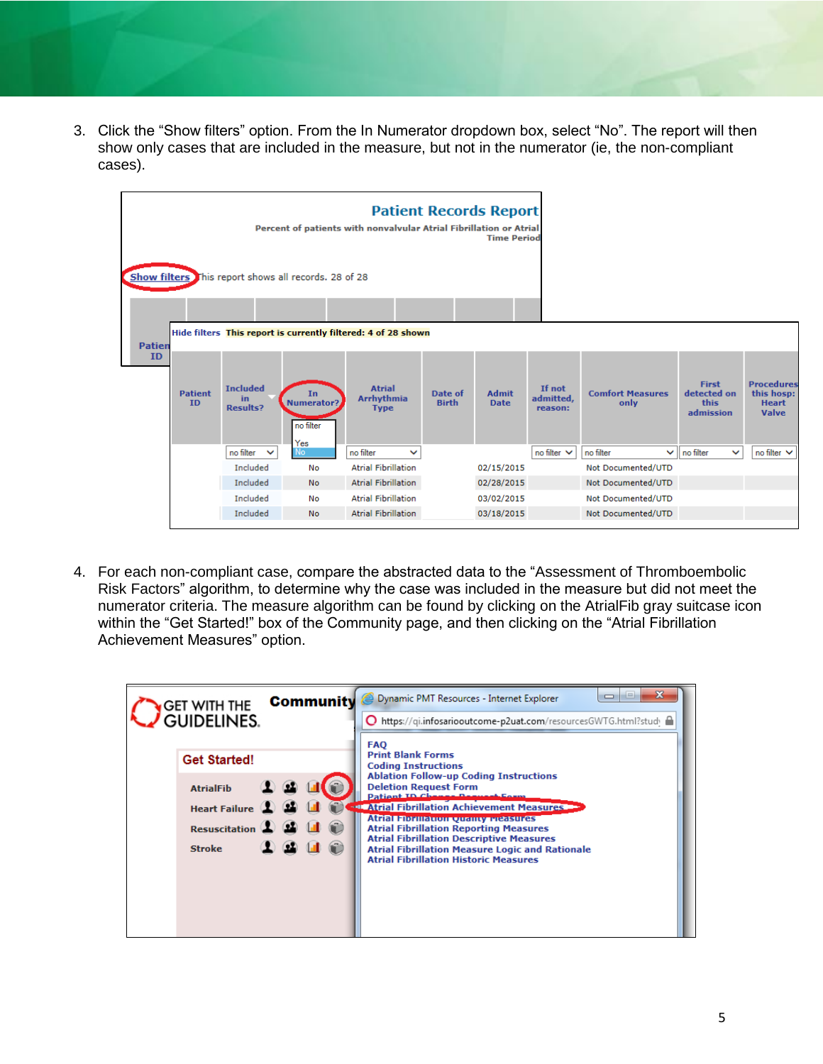3. Click the "Show filters" option. From the In Numerator dropdown box, select "No". The report will then show only cases that are included in the measure, but not in the numerator (ie, the non-compliant cases).



4. For each non-compliant case, compare the abstracted data to the "Assessment of Thromboembolic Risk Factors" algorithm, to determine why the case was included in the measure but did not meet the numerator criteria. The measure algorithm can be found by clicking on the AtrialFib gray suitcase icon within the "Get Started!" box of the Community page, and then clicking on the "Atrial Fibrillation Achievement Measures" option.

| <b>GET WITH THE</b><br><b>GUIDELINES.</b>                                                           | х<br><b>i</b> m<br>$\Box$<br><b>Community @ Dynamic PMT Resources - Internet Explorer</b><br>O https://qi.infosariooutcome-p2uat.com/resourcesGWTG.html?study                                                                                                                                                                                                                                                                                                                                               |
|-----------------------------------------------------------------------------------------------------|-------------------------------------------------------------------------------------------------------------------------------------------------------------------------------------------------------------------------------------------------------------------------------------------------------------------------------------------------------------------------------------------------------------------------------------------------------------------------------------------------------------|
| <b>Get Started!</b><br><b>AtrialFib</b><br><b>Heart Failure</b><br>Resuscitation (<br><b>Stroke</b> | <b>FAO</b><br><b>Print Blank Forms</b><br><b>Coding Instructions</b><br><b>Ablation Follow-up Coding Instructions</b><br><b>Deletion Request Form</b><br>Patient ID Change Beaugai Foun<br><b>FOR Atrial Fibrillation Achievement Measures</b><br><b>Atrial Florillation Quality Measures</b><br><b>Atrial Fibrillation Reporting Measures</b><br><b>Atrial Fibrillation Descriptive Measures</b><br><b>Atrial Fibrillation Measure Logic and Rationale</b><br><b>Atrial Fibrillation Historic Measures</b> |